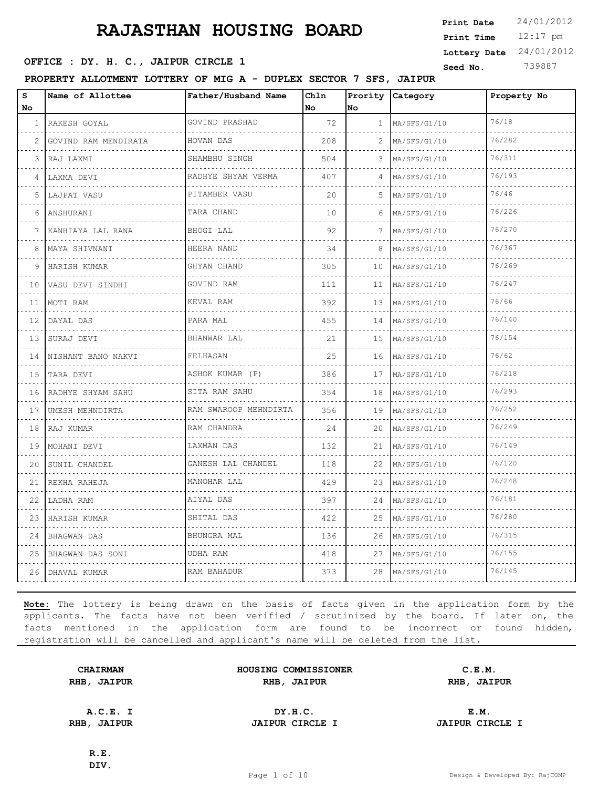12:17 pm **Print Time Print Date**  $24/01/2012$ **Lottery Date** 24/01/2012

# **OFFICE : DY. H. C., JAIPUR CIRCLE 1** Seed No. 739887

**PROPERTY ALLOTMENT LOTTERY OF MIG A - DUPLEX SECTOR 7 SFS, JAIPUR**

| s<br>No | Name of Allottee          | Father/Husband Name   | Chln<br>No. | No             | Prority Category  | Property No |
|---------|---------------------------|-----------------------|-------------|----------------|-------------------|-------------|
| 1       | RAKESH GOYAL              | GOVIND PRASHAD        | 72          | $\mathbf{1}$   | MA/SFS/G1/10      | 76/18       |
| 2       | .<br>GOVIND RAM MENDIRATA | HOVAN DAS             | 208         | $\overline{2}$ | .<br>MA/SFS/G1/10 | 76/282      |
| 3       | RAJ LAXMI                 | SHAMBHU SINGH         | 504         | 3              | MA/SFS/G1/10      | 76/311      |
| 4       | LAXMA DEVI                | RADHYE SHYAM VERMA    | 407         | $\Delta$       | MA/SFS/G1/10      | 76/193      |
| 5       | .<br>LAJPAT VASU          | .<br>PITAMBER VASU    | 20          | 5.             | .<br>MA/SFS/G1/10 | 76/46       |
| 6       | ANSHURANI                 | TARA CHAND            | 10          | 6              | MA/SFS/G1/10      | 76/226      |
| 7       | KANHIAYA LAL RANA         | BHOGI LAL             | 92          | 7              | MA/SFS/G1/10      | 76/270      |
| 8       | MAYA SHIVNANI             | HEERA NAND            | 34          | 8              | MA/SFS/G1/10      | 76/367      |
| 9       | HARISH KUMAR              | GHYAN CHAND           | 305         | 10             | MA/SFS/G1/10      | 76/269      |
| 10      | VASU DEVI SINDHI          | GOVIND RAM            | 111         | 11             | MA/SFS/G1/10      | 76/247      |
| 11      | MOTI RAM                  | KEVAL RAM             | 392         | 13             | MA/SFS/G1/10      | 76/66       |
| 12      | DAYAL DAS                 | PARA MAL              | 455         | 14             | MA/SFS/G1/10      | 76/140      |
| 13      | SURAJ DEVI                | BHANWAR LAL           | 21          | 15             | MA/SFS/G1/10      | 76/154      |
| 14      | NISHANT BANO NAKVI        | FELHASAN              | 25          | 16             | MA/SFS/G1/10      | 76/62       |
| 15      | TARA DEVI                 | ASHOK KUMAR (P)       | 386         | 17             | MA/SFS/G1/10      | 76/218      |
| 16      | RADHYE SHYAM SAHU         | SITA RAM SAHU<br>.    | 354         | 18             | MA/SFS/G1/10      | 76/293      |
| 17      | UMESH MEHNDIRTA           | RAM SWAROOP MEHNDIRTA | 356         | 19             | MA/SFS/G1/10      | 76/252      |
| 18      | RAJ KUMAR                 | RAM CHANDRA           | 24          | 20             | MA/SFS/G1/10      | 76/249      |
| 19      | MOHANI DEVI               | LAXMAN DAS            | 132         | 21             | MA/SFS/G1/10      | 76/149      |
| 20      | SUNIL CHANDEL             | GANESH LAL CHANDEL    | 118         | 22             | MA/SFS/G1/10      | 76/120      |
| 21      | REKHA RAHEJA              | MANOHAR LAL           | 429         | 23             | MA/SFS/G1/10      | 76/248      |
| 22      | LADHA RAM                 | AIYAL DAS             | 397         | 24             | MA/SFS/G1/10      | 76/181      |
| 23      | HARISH KUMAR              | SHITAL DAS            | 422         | 25             | MA/SFS/G1/10      | 76/280      |
| 24      | BHAGWAN DAS               | BHUNGRA MAL           | 136         | 26             | MA/SFS/G1/10      | 76/315      |
| 25      | BHAGWAN DAS SONI          | UDHA RAM              | 418         | 27             | $M_A/SFS/G1/10$   | 76/155      |
|         | 26 DHAVAL KUMAR           | RAM BAHADUR           | 373         | 28             | MA/SFS/G1/10      | 76/145      |

**Note:** The lottery is being drawn on the basis of facts given in the application form by the applicants. The facts have not been verified / scrutinized by the board. If later on, the facts mentioned in the application form are found to be incorrect or found hidden, registration will be cancelled and applicant's name will be deleted from the list.

| <b>CHAIRMAN</b> |               |  |
|-----------------|---------------|--|
| RHB,            | <b>JAIPUR</b> |  |

**HOUSING COMMISSIONER C.E.M. RHB, JAIPUR RHB, JAIPUR RHB, JAIPUR**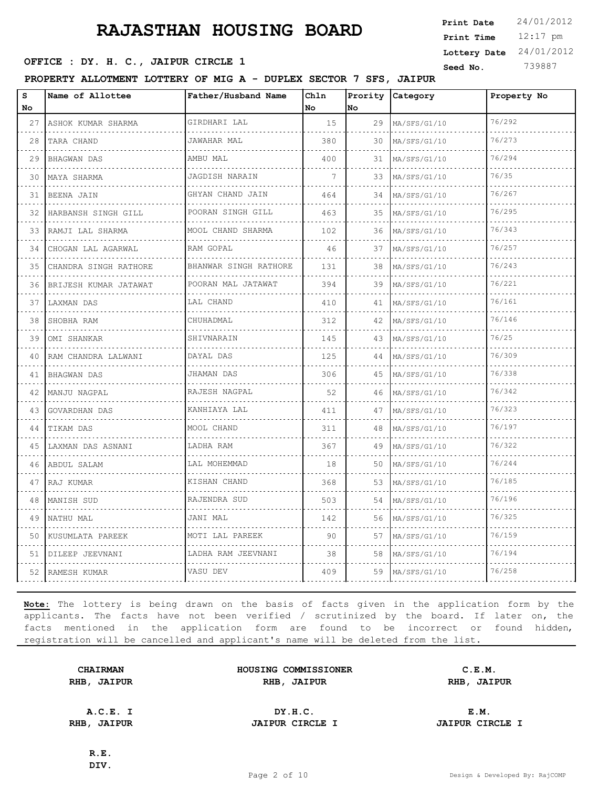12:17 pm **Print Time Print Date**  $24/01/2012$ **Lottery Date** 24/01/2012

# **SEED OFFICE : DY. H. C., JAIPUR CIRCLE 1** Seed No. 739887

**PROPERTY ALLOTMENT LOTTERY OF MIG A - DUPLEX SECTOR 7 SFS, JAIPUR**

| s<br>No | Name of Allottee      | Father/Husband Name                | Chln<br><b>No</b> | lno. | Prority Category | Property No |
|---------|-----------------------|------------------------------------|-------------------|------|------------------|-------------|
| 27      | ASHOK KUMAR SHARMA    | GIRDHARI LAL                       | 15                |      | 29 MA/SFS/G1/10  | 76/292      |
| 28      | TARA CHAND            | .<br>JAWAHAR MAL                   | 380               | 30   | MA/SFS/G1/10     | 76/273      |
| 29      | <b>BHAGWAN DAS</b>    | AMBU MAL                           | 400               | 31   | MA/SFS/G1/10     | 76/294      |
| 30      | MAYA SHARMA           | JAGDISH NARAIN                     | 7                 | 33   | MA/SFS/G1/10     | 76/35       |
| 31      | BEENA JAIN            | GHYAN CHAND JAIN<br>.              | 464               | 34   | MA/SFS/G1/10     | 76/267      |
| 32      | HARBANSH SINGH GILL   | POORAN SINGH GILL<br>.             | 463               | 35   | MA/SFS/G1/10     | 76/295      |
|         | 33   RAMJI LAL SHARMA | MOOL CHAND SHARMA                  | 102               | 36   | $M_A/SFS/G1/10$  | 76/343      |
| 34      | CHOGAN LAL AGARWAL    | RAM GOPAL                          | 46                | 37   | MA/SFS/G1/10     | 76/257      |
| 35      | CHANDRA SINGH RATHORE | BHANWAR SINGH RATHORE<br>.         | 131               | 38   | MA/SFS/G1/10     | 76/243      |
| 36      | BRIJESH KUMAR JATAWAT | POORAN MAL JATAWAT                 | 394               | 39   | MA/SFS/G1/10     | 76/221      |
| 37      | LAXMAN DAS            | LAL CHAND                          | 410               | 41   | MA/SFS/G1/10     | 76/161      |
| 38      | SHOBHA RAM<br>.       | CHUHADMAL                          | 312               | 42   | MA/SFS/G1/10     | 76/146      |
| 39      | OMI SHANKAR           | SHIVNARAIN                         | 145               | 43   | $M_A/$ SFS/G1/10 | 76/25       |
| 40      | RAM CHANDRA LALWANI   | DAYAL DAS                          | 125               | 44   | MA/SFS/G1/10     | 76/309      |
| 41      | BHAGWAN DAS<br>.      | JHAMAN DAS<br>.                    | 306               | 45   | MA/SFS/G1/10     | 76/338      |
|         | 42 IMANJU NAGPAL      | RAJESH NAGPAL                      | 52                | 46   | MA/SFS/G1/10     | 76/342      |
| 43      | GOVARDHAN DAS         | KANHIAYA LAL                       | 411               | 47   | MA/SFS/G1/10     | 76/323      |
| 44      | TIKAM DAS             | MOOL CHAND                         | 311               | 48   | MA/SFS/G1/10     | 76/197      |
|         | 45 LAXMAN DAS ASNANI  | LADHA RAM                          | 367               | 49   | MA/SFS/G1/10     | 76/322      |
| 46      | ABDUL SALAM           | LAL MOHEMMAD<br>a a a a a a a a an | 18                | 50   | MA/SFS/G1/10     | 76/244      |
| 47      | RAJ KUMAR             | KISHAN CHAND<br>.                  | 368               | 53   | MA/SFS/G1/10     | 76/185      |
| 48      | MANISH SUD            | RAJENDRA SUD                       | 503               | 54   | MA/SFS/G1/10     | 76/196      |
| 49      | NATHU MAL             | JANI MAL                           | 142               | 56   | MA/SFS/G1/10     | 76/325      |
| 50      | KUSUMLATA PAREEK      | MOTI LAL PAREEK<br>.               | 90                | 57   | MA/SFS/G1/10     | 76/159      |
|         | 51   DILEEP JEEVNANI  | LADHA RAM JEEVNANI                 | 38                | 58   | MA/SFS/G1/10     | 76/194      |
|         | 52   RAMESH KUMAR     | VASU DEV                           | 409               | 59   | MA/SFS/G1/10     | 76/258      |

**Note:** The lottery is being drawn on the basis of facts given in the application form by the applicants. The facts have not been verified / scrutinized by the board. If later on, the facts mentioned in the application form are found to be incorrect or found hidden, registration will be cancelled and applicant's name will be deleted from the list.

| <b>CHAIRMAN</b>    | HOUSING COMMISSIONER | C.E.M.      |
|--------------------|----------------------|-------------|
| <b>RHB, JAIPUR</b> | RHB, JAIPUR          | RHB, JAIPUR |
|                    |                      |             |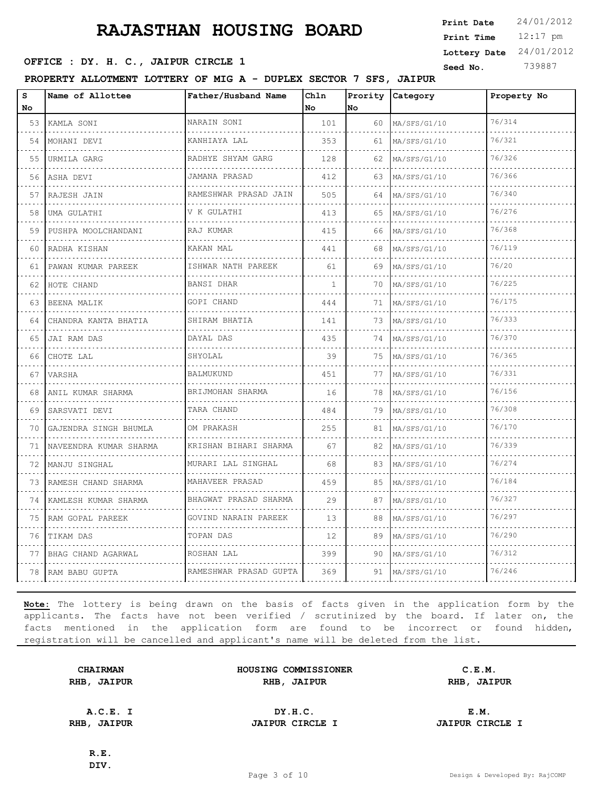12:17 pm **Print Time Print Date**  $24/01/2012$ **Lottery Date** 24/01/2012

# **SEED OFFICE : DY. H. C., JAIPUR CIRCLE 1** Seed No. 739887

**PROPERTY ALLOTMENT LOTTERY OF MIG A - DUPLEX SECTOR 7 SFS, JAIPUR**

| s<br><b>No</b> | Name of Allottee       | Father/Husband Name        | Chln<br><b>No</b> | lNo. | Prority Category  | Property No |
|----------------|------------------------|----------------------------|-------------------|------|-------------------|-------------|
| 53             | KAMLA SONI             | NARAIN SONI<br>.           | 101               | 60   | MA/SFS/G1/10<br>. | 76/314      |
| 54             | .<br>MOHANI DEVI       | KANHIAYA LAL               | 353               | 61   | MA/SFS/G1/10      | 76/321      |
| 55             | URMILA GARG            | RADHYE SHYAM GARG          | 128               | 62   | MA/SFS/G1/10      | 76/326      |
| 56             | ASHA DEVI              | JAMANA PRASAD              | 412               | 63.  | MA/SFS/G1/10      | 76/366      |
| 57             | .<br>RAJESH JAIN       | .<br>RAMESHWAR PRASAD JAIN | 505               | 64   | MA/SFS/G1/10      | 76/340      |
| 58             | UMA GULATHI            | V K GULATHI                | 413               | 65   | MA/SFS/G1/10      | 76/276      |
| 59             | PUSHPA MOOLCHANDANI    | RAJ KUMAR                  | 415               | 66   | MA/SFS/G1/10      | 76/368      |
| 60             | RADHA KISHAN           | KAKAN MAL                  | 441               | 68   | MA/SFS/G1/10      | 76/119      |
| 61             | PAWAN KUMAR PAREEK     | ISHWAR NATH PAREEK         | 61                | 69   | MA/SFS/G1/10      | 76/20       |
| 62             | HOTE CHAND             | <b>BANSI DHAR</b>          | $\mathbf{1}$      | 70   | MA/SFS/G1/10      | 76/225      |
| 63             | .<br>BEENA MALIK       | GOPI CHAND                 | 444               | 71   | MA/SFS/G1/10      | 76/175      |
| 64             | CHANDRA KANTA BHATIA   | SHIRAM BHATIA              | 141               | 73   | MA/SFS/G1/10      | 76/333      |
| 65             | JAI RAM DAS            | DAYAL DAS                  | 435               | 74   | MA/SFS/G1/10      | 76/370      |
| 66             | CHOTE LAL              | SHYOLAL                    | 39                | 75   | MA/SFS/G1/10      | 76/365      |
| 67             | VARSHA                 | BALMUKUND                  | 451               | 77   | MA/SFS/G1/10      | 76/331      |
| 68             | ANIL KUMAR SHARMA      | BRIJMOHAN SHARMA           | 16                | 78   | MA/SFS/G1/10      | 76/156      |
| 69             | SARSVATI DEVI          | TARA CHAND                 | 484               | 79   | MA/SFS/G1/10      | 76/308      |
| 70             | GAJENDRA SINGH BHUMLA  | OM PRAKASH                 | 255               | 81   | MA/SFS/G1/10      | 76/170      |
| 71             | NAVEENDRA KUMAR SHARMA | KRISHAN BIHARI SHARMA      | 67                | 82   | MA/SFS/G1/10      | 76/339      |
| 72             | MANJU SINGHAL          | MURARI LAL SINGHAL         | 68                | 83   | MA/SFS/G1/10      | 76/274      |
| 73             | RAMESH CHAND SHARMA    | MAHAVEER PRASAD<br>.       | 459               | 85   | MA/SFS/G1/10      | 76/184      |
| 74             | KAMLESH KUMAR SHARMA   | BHAGWAT PRASAD SHARMA      | 29                | 87   | MA/SFS/G1/10      | 76/327      |
| 75             | RAM GOPAL PAREEK       | GOVIND NARAIN PAREEK       | 13                | 88   | MA/SFS/G1/10      | 76/297      |
| 76             | TIKAM DAS              | TOPAN DAS                  | 12.               | 89   | MA/SFS/G1/10      | 76/290      |
|                | 77 BHAG CHAND AGARWAL  | ROSHAN LAL                 | 399               | 90   | MA/SFS/G1/10      | 76/312      |
|                | 78 RAM BABU GUPTA      | RAMESHWAR PRASAD GUPTA     | 369               | 91   | MA/SFS/G1/10      | 76/246      |

**Note:** The lottery is being drawn on the basis of facts given in the application form by the applicants. The facts have not been verified / scrutinized by the board. If later on, the facts mentioned in the application form are found to be incorrect or found hidden, registration will be cancelled and applicant's name will be deleted from the list.

| <b>CHAIRMAN</b>    | HOUSING COMMISSIONER | C.E.M.      |
|--------------------|----------------------|-------------|
| <b>RHB, JAIPUR</b> | RHB, JAIPUR          | RHB, JAIPUR |
|                    |                      |             |

**A.C.E. I DY.H.C. E.M. RHB, JAIPUR JAIPUR CIRCLE I JAIPUR CIRCLE I**

**R.E. DIV.**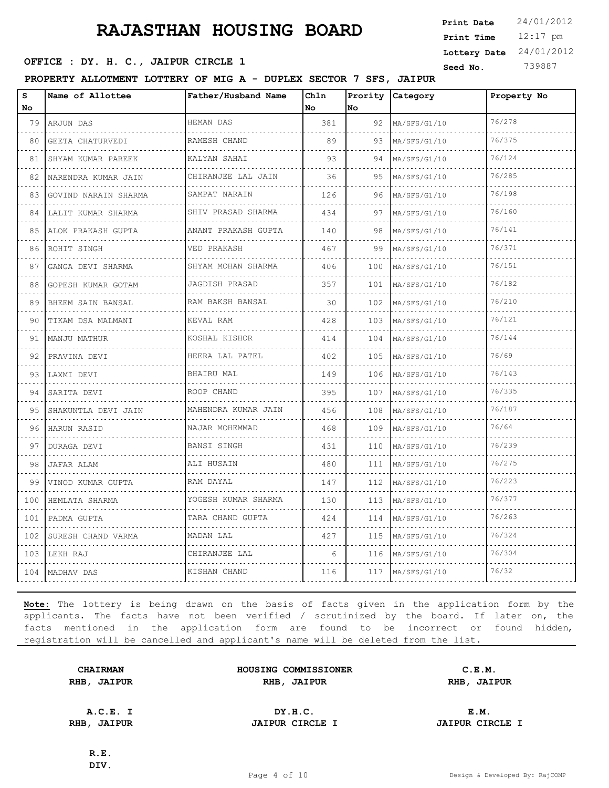12:17 pm **Print Time Print Date**  $24/01/2012$ **Lottery Date** 24/01/2012

# **OFFICE : DY. H. C., JAIPUR CIRCLE 1** Seed No. 739887

**PROPERTY ALLOTMENT LOTTERY OF MIG A - DUPLEX SECTOR 7 SFS, JAIPUR**

| s<br>No | Name of Allottee          | Father/Husband Name | Ch1n<br>No | Prority<br><b>No</b> | Category          | Property No |
|---------|---------------------------|---------------------|------------|----------------------|-------------------|-------------|
| 79      | ARJUN DAS                 | HEMAN DAS           | 381        | 92                   | MA/SFS/G1/10      | 76/278      |
| 80      | .<br>GEETA CHATURVEDI     | RAMESH CHAND        | 89         | 93                   | .<br>MA/SFS/G1/10 | 76/375      |
| 81      | SHYAM KUMAR PAREEK        | KALYAN SAHAI        | 93         | 94                   | MA/SFS/G1/10      | 76/124      |
| 82      | NARENDRA KUMAR JAIN       | CHIRANJEE LAL JAIN  | 36         | 95                   | MA/SFS/G1/10      | 76/285      |
| 83      | GOVIND NARAIN SHARMA<br>. | SAMPAT NARAIN<br>.  | 126        | 96.                  | MA/SFS/G1/10      | 76/198      |
| 84      | LALIT KUMAR SHARMA        | SHIV PRASAD SHARMA  | 434        | 97                   | MA/SFS/G1/10      | 76/160      |
| 85      | ALOK PRAKASH GUPTA        | ANANT PRAKASH GUPTA | 140        | 98                   | MA/SFS/G1/10      | 76/141      |
| 86      | ROHIT SINGH               | VED PRAKASH         | 467        | 99                   | MA/SFS/G1/10      | 76/371      |
| 87      | GANGA DEVI SHARMA         | SHYAM MOHAN SHARMA  | 406        | 100                  | MA/SFS/G1/10      | 76/151      |
| 88      | GOPESH KUMAR GOTAM        | JAGDISH PRASAD<br>. | 357        | 101                  | MA/SFS/G1/10      | 76/182      |
| 89      | BHEEM SAIN BANSAL         | RAM BAKSH BANSAL    | 30         | 102                  | MA/SFS/G1/10      | 76/210      |
| 90      | TIKAM DSA MALMANI         | KEVAL RAM           | 428        | 103                  | MA/SFS/G1/10      | 76/121      |
| 91      | MANJU MATHUR<br>.         | KOSHAL KISHOR<br>.  | 414        | 104                  | MA/SFS/G1/10      | 76/144      |
| 92      | PRAVINA DEVI              | HEERA LAL PATEL     | 402        | 105                  | MA/SFS/G1/10      | 76/69       |
| 93      | LAXMI DEVI                | BHAIRU MAL          | 149        | 106                  | MA/SFS/G1/10      | 76/143      |
| 94      | SARITA DEVI<br>.          | ROOP CHAND          | 395        | 107                  | MA/SFS/G1/10      | 76/335      |
| 95      | SHAKUNTLA DEVI JAIN       | MAHENDRA KUMAR JAIN | 456        | 108                  | MA/SFS/G1/10      | 76/187      |
| 96      | HARUN RASID               | NAJAR MOHEMMAD<br>. | 468        | 109                  | MA/SFS/G1/10      | 76/64       |
| 97      | DURAGA DEVI               | <b>BANSI SINGH</b>  | 431        | 110                  | MA/SFS/G1/10      | 76/239      |
| 98      | JAFAR ALAM                | ALI HUSAIN          | 480        | 111                  | MA/SFS/G1/10      | 76/275      |
| 99      | VINOD KUMAR GUPTA         | RAM DAYAL           | 147        | 112                  | MA/SFS/G1/10      | 76/223      |
| 100     | HEMLATA SHARMA            | YOGESH KUMAR SHARMA | 130        | 113                  | MA/SFS/G1/10      | 76/377      |
| 101     | PADMA GUPTA               | TARA CHAND GUPTA    | 424        | 114                  | MA/SFS/G1/10      | 76/263      |
| 102     | SURESH CHAND VARMA        | MADAN LAL           | 427        | 115                  | MA/SFS/G1/10      | 76/324      |
|         | 103 LEKH RAJ              | CHIRANJEE LAL       | 6          | 116                  | MA/SFS/G1/10      | 76/304      |
|         | 104   MADHAV DAS          | KISHAN CHAND        | 116        | 117                  | MA/SFS/G1/10      | 76/32       |

**Note:** The lottery is being drawn on the basis of facts given in the application form by the applicants. The facts have not been verified / scrutinized by the board. If later on, the facts mentioned in the application form are found to be incorrect or found hidden, registration will be cancelled and applicant's name will be deleted from the list.

| <b>CHAIRMAN</b> |             |  |
|-----------------|-------------|--|
|                 | RHB, JAIPUR |  |

**HOUSING COMMISSIONER C.E.M. RHB, JAIPUR RHB, JAIPUR RHB, JAIPUR**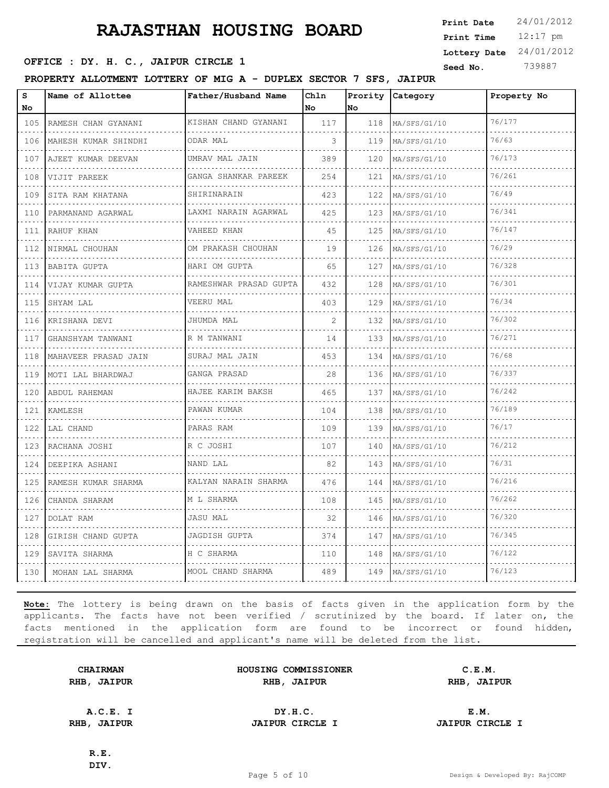12:17 pm **Print Time Print Date**  $24/01/2012$ **Lottery Date** 24/01/2012

# **OFFICE : DY. H. C., JAIPUR CIRCLE 1** Seed No. 739887

**PROPERTY ALLOTMENT LOTTERY OF MIG A - DUPLEX SECTOR 7 SFS, JAIPUR**

| S<br>No                            | Name of Allottee      | Father/Husband Name         | Chln<br>No     | Prority<br>No | Category          | Property No |
|------------------------------------|-----------------------|-----------------------------|----------------|---------------|-------------------|-------------|
| 105                                | RAMESH CHAN GYANANI   | KISHAN CHAND GYANANI        | 117            | 118           | MA/SFS/G1/10      | 76/177      |
| .<br>106                           | MAHESH KUMAR SHINDHI  | .<br>ODAR MAL               | 3              | 119           | .<br>MA/SFS/G1/10 | 76/63       |
| 107                                | AJEET KUMAR DEEVAN    | UMRAV MAL JAIN              | 389            | 120           | MA/SFS/G1/10      | 76/173      |
| .<br>108                           | VIJIT PAREEK          | GANGA SHANKAR PAREEK        | 254            | 121           | MA/SFS/G1/10      | 76/261      |
| $\sim$ $\sim$ $\sim$ $\sim$<br>109 | .<br>SITA RAM KHATANA | .<br>SHIRINARAIN            | 423            | 122           | MA/SFS/G1/10      | 76/49       |
| 110                                | PARMANAND AGARWAL     | LAXMI NARAIN AGARWAL        | 425            | 123           | MA/SFS/G1/10      | 76/341      |
| $\sim$ $\sim$ $\sim$ $\sim$<br>111 | RAHUF KHAN            | VAHEED KHAN<br>.            | 45             | 125           | MA/SFS/G1/10      | 76/147      |
| $\omega$ is a set<br>112           | NIRMAL CHOUHAN        | OM PRAKASH CHOUHAN          | 19             | 126           | MA/SFS/G1/10      | 76/29       |
| 113                                | BABITA GUPTA          | HARI OM GUPTA               | 65             | 127           | MA/SFS/G1/10      | 76/328      |
| 114                                | VIJAY KUMAR GUPTA     | RAMESHWAR PRASAD GUPTA<br>. | 432            | 128           | MA/SFS/G1/10      | 76/301      |
| in a shek<br>115                   | SHYAM LAL             | VEERU MAL                   | 403            | 129           | MA/SFS/G1/10      | 76/34       |
| 116                                | KRISHANA DEVI         | JHUMDA MAL                  | $\overline{2}$ | 132           | MA/SFS/G1/10      | 76/302      |
| $  -$<br>117                       | GHANSHYAM TANWANI     | R M TANWANI                 | 14             | 133           | MA/SFS/G1/10      | 76/271      |
| a sa sa<br>118                     | MAHAVEER PRASAD JAIN  | .<br>SURAJ MAL JAIN         | 453            | 134           | MA/SFS/G1/10      | 76/68       |
| 119                                | MOTI LAL BHARDWAJ     | GANGA PRASAD                | 28             | 136           | MA/SFS/G1/10      | 76/337      |
| . Lista<br>120                     | ABDUL RAHEMAN         | HAJEE KARIM BAKSH<br>.      | 465            | 137           | MA/SFS/G1/10      | 76/242      |
| .<br>121                           | KAMLESH               | PAWAN KUMAR                 | 104            | 138           | MA/SFS/G1/10      | 76/189      |
| 122                                | LAL CHAND             | PARAS RAM                   | 109            | 139           | MA/SFS/G1/10      | 76/17       |
| .<br>123                           | RACHANA JOSHI         | R C JOSHI                   | 107            | 140           | MA/SFS/G1/10      | 76/212      |
| .<br>124                           | DEEPIKA ASHANI        | NAND LAL                    | 82             | 143           | MA/SFS/G1/10      | 76/31       |
| 125                                | RAMESH KUMAR SHARMA   | KALYAN NARAIN SHARMA        | 476            | 144           | MA/SFS/G1/10      | 76/216      |
| .<br>126                           | CHANDA SHARAM         | M L SHARMA                  | 108            | 145           | MA/SFS/G1/10      | 76/262      |
| .<br>127                           | DOLAT RAM             | <b>JASU MAL</b>             | 32             | 146           | MA/SFS/G1/10      | 76/320      |
| 128                                | GIRISH CHAND GUPTA    | JAGDISH GUPTA               | 374            | 147           | MA/SFS/G1/10      | 76/345      |
| د د د د<br>129                     | SAVITA SHARMA         | H C SHARMA                  | 110            | 148           | MA/SFS/G1/10      | 76/122      |
| .<br>130                           | MOHAN LAL SHARMA      | MOOL CHAND SHARMA           | 489            | 149           | MA/SFS/G1/10      | 76/123      |

**Note:** The lottery is being drawn on the basis of facts given in the application form by the applicants. The facts have not been verified / scrutinized by the board. If later on, the facts mentioned in the application form are found to be incorrect or found hidden, registration will be cancelled and applicant's name will be deleted from the list.

|      | <b>CHAIRMAN</b> |
|------|-----------------|
| RHB, | <b>JAIPUR</b>   |

**HOUSING COMMISSIONER C.E.M. RHB, JAIPUR RHB, JAIPUR RHB, JAIPUR**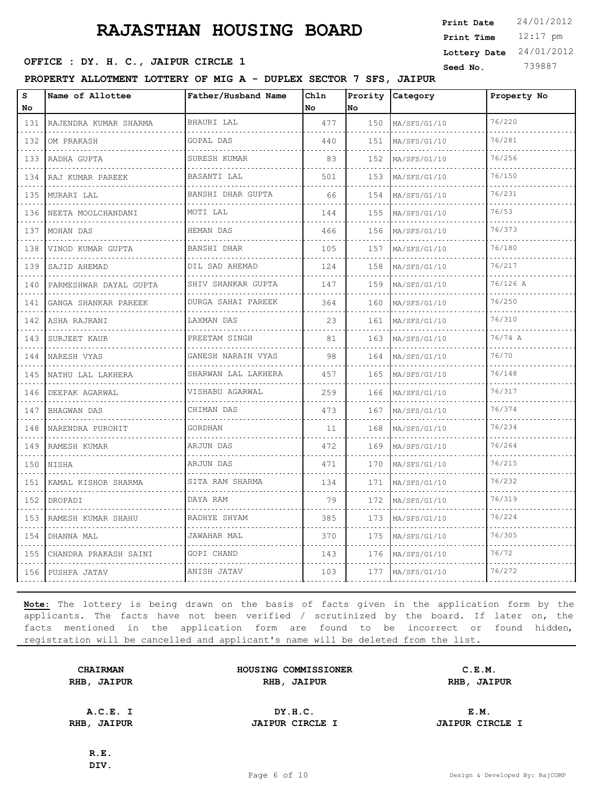12:17 pm **Print Time Print Date**  $24/01/2012$ **Lottery Date** 24/01/2012

# **OFFICE : DY. H. C., JAIPUR CIRCLE 1** Seed No. 739887

**PROPERTY ALLOTMENT LOTTERY OF MIG A - DUPLEX SECTOR 7 SFS, JAIPUR**

| S<br>No.                                | Name of Allottee       | Father/Husband Name           | Chln<br>No. | Prority<br><b>No</b> | Category          | Property No |
|-----------------------------------------|------------------------|-------------------------------|-------------|----------------------|-------------------|-------------|
| 131                                     | RAJENDRA KUMAR SHARMA  | BHAURI LAL                    | 477         | 150                  | MA/SFS/G1/10      | 76/220      |
| .<br>132                                | OM PRAKASH             | de de de de dec<br>GOPAL DAS  | 440         | 151                  | .<br>MA/SFS/G1/10 | 76/281      |
| 133                                     | RADHA GUPTA            | SURESH KUMAR                  | 83          | 152                  | MA/SFS/G1/10      | 76/256      |
| 134                                     | RAJ KUMAR PAREEK       | BASANTI LAL                   | 501         | 153                  | MA/SFS/G1/10      | 76/150      |
| .<br>135                                | MURARI LAL             | <u>.</u><br>BANSHI DHAR GUPTA | 66          | 154                  | MA/SFS/G1/10      | 76/231      |
| 136                                     | NEETA MOOLCHANDANI     | MOTI LAL                      | 144         | 155                  | MA/SFS/G1/10      | 76/53       |
| .<br>137                                | MOHAN DAS              | HEMAN DAS                     | 466         | 156                  | MA/SFS/G1/10      | 76/373      |
| .<br>138                                | .<br>VINOD KUMAR GUPTA | .<br>BANSHI DHAR              | 105         | 157                  | MA/SFS/G1/10      | 76/180      |
| 139                                     | SAJID AHEMAD           | DIL SAD AHEMAD                | 124         | 158                  | MA/SFS/G1/10      | 76/217      |
| .<br>140                                | PARMESHWAR DAYAL GUPTA | .<br>SHIV SHANKAR GUPTA<br>.  | 147         | 159                  | MA/SFS/G1/10      | 76/126 A    |
| .<br>141                                | GANGA SHANKAR PAREEK   | DURGA SAHAI PAREEK            | 364         | 160                  | MA/SFS/G1/10      | 76/250      |
| 142                                     | ASHA RAJRANI           | LAXMAN DAS                    | 23          | 161                  | MA/SFS/G1/10      | 76/310      |
| المتحدث<br>143                          | .<br>SURJEET KAUR      | PREETAM SINGH                 | 81          | 163                  | MA/SFS/G1/10      | 76/74 A     |
| .<br>144                                | NARESH VYAS            | GANESH NARAIN VYAS            | 98          | 164                  | MA/SFS/G1/10      | 76/70       |
| 145                                     | NATHU LAL LAKHERA      | SHARWAN LAL LAKHERA<br>.      | 457         | 165                  | MA/SFS/G1/10      | 76/148      |
| $\sim$ $\sim$ $\sim$ $\sim$<br>146<br>. | DEEPAK AGARWAL         | VISHABU AGARWAL               | 259         | 166                  | MA/SFS/G1/10      | 76/317      |
| 147                                     | BHAGWAN DAS            | CHIMAN DAS                    | 473         | 167                  | MA/SFS/G1/10      | 76/374      |
| $\cdots$<br>148                         | NARENDRA PUROHIT       | GORDHAN                       | 11          | 168                  | MA/SFS/G1/10      | 76/234      |
| $\sim$ $\sim$ $\sim$ $\sim$<br>149      | RAMESH KUMAR           | ARJUN DAS                     | 472         | 169                  | MA/SFS/G1/10      | 76/264      |
| .<br>150                                | NISHA                  | ARJUN DAS                     | 471         | 170                  | MA/SFS/G1/10      | 76/215      |
| 151                                     | KAMAL KISHOR SHARMA    | SITA RAM SHARMA               | 134         | 171                  | MA/SFS/G1/10      | 76/232      |
| $\omega$ is a set<br>152                | DROPADI                | DAYA RAM                      | 79          | 172                  | MA/SFS/G1/10      | 76/319      |
| 153                                     | RAMESH KUMAR SHAHU     | RADHYE SHYAM                  | 385         | 173                  | MA/SFS/G1/10      | 76/224      |
| $\sim$ $\sim$ $\sim$ $\sim$<br>154      | DHANNA MAL             | JAWAHAR MAL                   | 370         | 175                  | MA/SFS/G1/10      | 76/305      |
| .<br>155                                | CHANDRA PRAKASH SAINI  | GOPI CHAND                    | 143         | 176                  | MA/SFS/G1/10      | 76/72       |
|                                         | 156 PUSHPA JATAV       | ANISH JATAV                   | 103         | 177                  | MA/SFS/G1/10      | 76/272      |

**Note:** The lottery is being drawn on the basis of facts given in the application form by the applicants. The facts have not been verified / scrutinized by the board. If later on, the facts mentioned in the application form are found to be incorrect or found hidden, registration will be cancelled and applicant's name will be deleted from the list.

| <b>CHAIRMAN</b> |               |  |
|-----------------|---------------|--|
| RHB,            | <b>JAIPUR</b> |  |

**HOUSING COMMISSIONER C.E.M. RHB, JAIPUR RHB, JAIPUR RHB, JAIPUR**

| A.C.E.                      | DY.H.C.                | Е.М.<br>the contract of the contract of the |  |
|-----------------------------|------------------------|---------------------------------------------|--|
| <b>RHB</b><br><b>JAIPUR</b> | <b>JAIPUR CIRCLE I</b> | <b>JAIPUR CIRCLE</b>                        |  |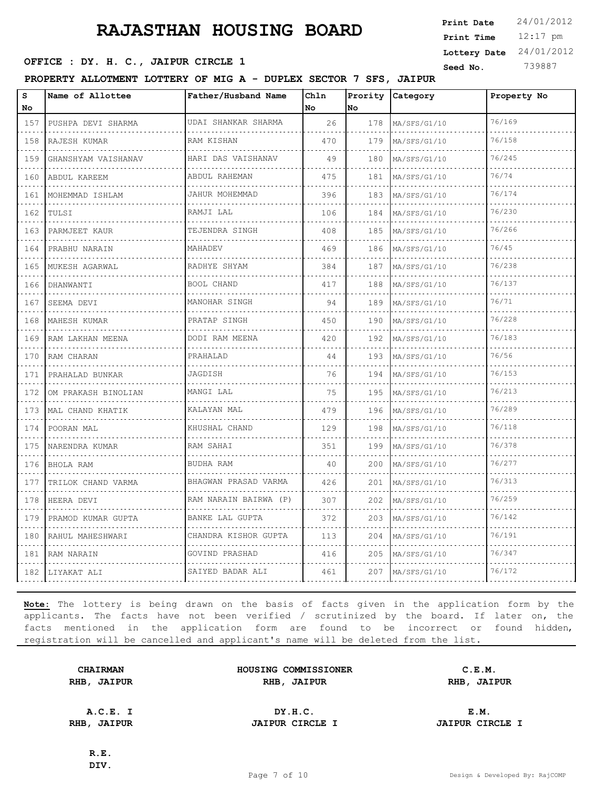12:17 pm **Print Time Print Date**  $24/01/2012$ **Lottery Date** 24/01/2012

# **SEED OFFICE : DY. H. C., JAIPUR CIRCLE 1** Seed No. 739887

**PROPERTY ALLOTMENT LOTTERY OF MIG A - DUPLEX SECTOR 7 SFS, JAIPUR**

| S<br>No                     | Name of Allottee         | Father/Husband Name       | Chln<br>No | Prority<br>No. | Category          | Property No |
|-----------------------------|--------------------------|---------------------------|------------|----------------|-------------------|-------------|
| 157                         | PUSHPA DEVI SHARMA       | UDAI SHANKAR SHARMA       | 26         | 178            | MA/SFS/G1/10      | 76/169      |
| .<br>158                    | RAJESH KUMAR             | .<br>RAM KISHAN           | 470        | 179            | .<br>MA/SFS/G1/10 | 76/158      |
| 159                         | GHANSHYAM VAISHANAV      | HARI DAS VAISHANAV        | 49         | 180            | MA/SFS/G1/10      | 76/245      |
| .<br>160                    | ABDUL KAREEM             | ABDUL RAHEMAN             | 475        | 181            | MA/SFS/G1/10      | 76/74       |
| .<br>161                    | .<br>MOHEMMAD ISHLAM     | .<br>JAHUR MOHEMMAD       | 396        | 183            | MA/SFS/G1/10      | 76/174      |
| 162                         | TULSI                    | RAMJI LAL                 | 106        | 184            | MA/SFS/G1/10      | 76/230      |
| .<br>163                    | PARMJEET KAUR            | TEJENDRA SINGH            | 408        | 185            | MA/SFS/G1/10      | 76/266      |
| .<br>164                    | PRABHU NARAIN            | MAHADEV                   | 469        | 186            | MA/SFS/G1/10      | 76/45       |
| 165                         | MUKESH AGARWAL           | RADHYE SHYAM              | 384        | 187            | MA/SFS/G1/10      | 76/238      |
| .<br>166                    | DHANWANTI<br>.           | BOOL CHAND<br>.           | 417        | 188            | MA/SFS/G1/10      | 76/137      |
| .<br>167                    | SEEMA DEVI               | MANOHAR SINGH             | 94         | 189            | MA/SFS/G1/10      | 76/71       |
| 168                         | MAHESH KUMAR             | PRATAP SINGH              | 450        | 190            | MA/SFS/G1/10      | 76/228      |
| .<br>169                    | RAM LAKHAN MEENA         | DODI RAM MEENA<br>.       | 420        | 192            | MA/SFS/G1/10      | 76/183      |
| .<br>170                    | RAM CHARAN               | PRAHALAD                  | 44         | 193            | MA/SFS/G1/10      | 76/56       |
| 171                         | PRAHALAD BUNKAR          | JAGDISH                   | 76         | 194            | MA/SFS/G1/10      | 76/153      |
| .<br>172<br>.               | OM PRAKASH BINOLIAN<br>. | MANGI LAL                 | 75         | 195            | MA/SFS/G1/10      | 76/213      |
| 173                         | MAL CHAND KHATIK         | KALAYAN MAL               | 479        | 196            | MA/SFS/G1/10      | 76/289      |
| 174                         | POORAN MAL<br>.          | KHUSHAL CHAND             | 129        | 198            | MA/SFS/G1/10      | 76/118      |
| .<br>175<br>.               | NARENDRA KUMAR           | RAM SAHAI<br>.            | 351        | 199            | MA/SFS/G1/10      | 76/378      |
| 176                         | BHOLA RAM                | BUDHA RAM                 | 40         | 200            | MA/SFS/G1/10      | 76/277      |
| 177                         | TRILOK CHAND VARMA       | BHAGWAN PRASAD VARMA<br>. | 426        | 201            | MA/SFS/G1/10      | 76/313      |
| الدامات الداما<br>178       | HEERA DEVI               | RAM NARAIN BAIRWA (P)     | 307        | 202            | MA/SFS/G1/10      | 76/259      |
| 179                         | PRAMOD KUMAR GUPTA       | BANKE LAL GUPTA           | 372        | 203            | MA/SFS/G1/10      | 76/142      |
| .<br>180                    | RAHUL MAHESHWARI         | CHANDRA KISHOR GUPTA<br>. | 113        | 204            | MA/SFS/G1/10      | 76/191      |
| $\sim$ $\sim$ $\sim$<br>181 | RAM NARAIN               | GOVIND PRASHAD            | 416        | 205            | MA/SFS/G1/10      | 76/347      |
|                             | 182   LIYAKAT ALI        | SAIYED BADAR ALI          | 461        | 207            | MA/SFS/G1/10      | 76/172      |

**Note:** The lottery is being drawn on the basis of facts given in the application form by the applicants. The facts have not been verified / scrutinized by the board. If later on, the facts mentioned in the application form are found to be incorrect or found hidden, registration will be cancelled and applicant's name will be deleted from the list.

| <b>CHAIRMAN</b> | HOUSING COMMISSIONER | C.E.M.      |
|-----------------|----------------------|-------------|
| RHB, JAIPUR     | RHB, JAIPUR          | RHB, JAIPUR |
|                 |                      |             |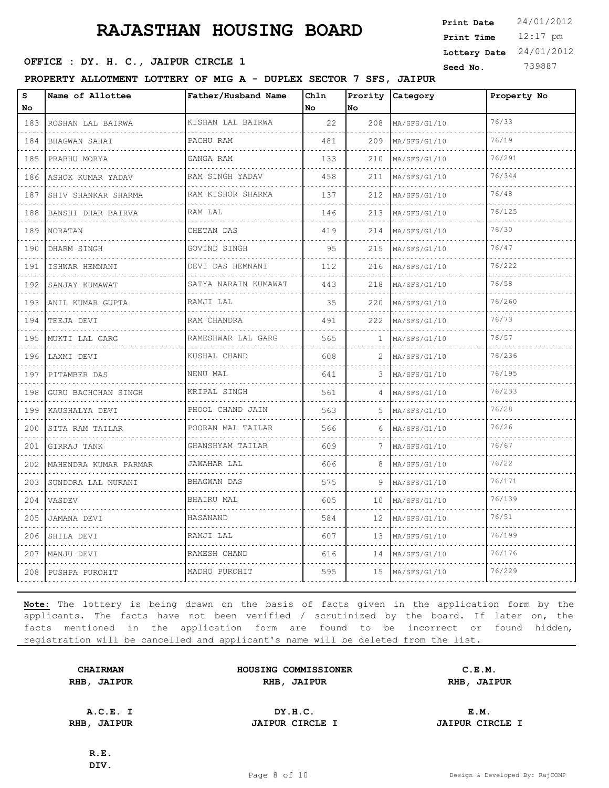12:17 pm **Print Time Print Date**  $24/01/2012$ **Lottery Date** 24/01/2012

# **SEED OFFICE : DY. H. C., JAIPUR CIRCLE 1** Seed No. 739887

**PROPERTY ALLOTMENT LOTTERY OF MIG A - DUPLEX SECTOR 7 SFS, JAIPUR**

| S<br>No  | Name of Allottee        | Father/Husband Name     | Chln<br>No | Prority<br>No | Category          | Property No |
|----------|-------------------------|-------------------------|------------|---------------|-------------------|-------------|
| 183      | ROSHAN LAL BAIRWA       | KISHAN LAL BAIRWA       | 22         | 208           | MA/SFS/G1/10      | 76/33       |
| .<br>184 | .<br>BHAGWAN SAHAI      | .<br>PACHU RAM          | 481        | 209           | .<br>MA/SFS/G1/10 | 76/19       |
| 185      | .<br>PRABHU MORYA       | GANGA RAM               | 133        | 210           | MA/SFS/G1/10      | 76/291      |
| 186      | ASHOK KUMAR YADAV       | RAM SINGH YADAV         | 458        | 211           | MA/SFS/G1/10      | 76/344      |
| .<br>187 | SHIV SHANKAR SHARMA     | .<br>RAM KISHOR SHARMA  | 137        | 212           | MA/SFS/G1/10      | 76/48       |
| 188      | BANSHI DHAR BAIRVA      | RAM LAL                 | 146        | 213           | MA/SFS/G1/10      | 76/125      |
| .<br>189 | NORATAN                 | CHETAN DAS<br>.         | 419        | 214           | MA/SFS/G1/10      | 76/30       |
| .<br>190 | DHARM SINGH             | GOVIND SINGH            | 95         | 215           | MA/SFS/G1/10      | 76/47       |
| 191      | ISHWAR HEMNANI          | DEVI DAS HEMNANI        | 112        | 216           | MA/SFS/G1/10      | 76/222      |
| .<br>192 | SANJAY KUMAWAT          | SATYA NARAIN KUMAWAT    | 443        | 218           | MA/SFS/G1/10      | 76/58       |
| .<br>193 | ANIL KUMAR GUPTA        | RAMJI LAL               | 35         | 220           | MA/SFS/G1/10      | 76/260      |
| 194      | TEEJA DEVI              | RAM CHANDRA             | 491        | 222           | MA/SFS/G1/10      | 76/73       |
| .<br>195 | MUKTI LAL GARG          | RAMESHWAR LAL GARG<br>. | 565        | 1             | MA/SFS/G1/10      | 76/57       |
| .<br>196 | LAXMI DEVI              | KUSHAL CHAND            | 608        |               | MA/SFS/G1/10      | 76/236      |
| 197<br>. | PITAMBER DAS            | NENU MAL                | 641        | 3             | MA/SFS/G1/10      | 76/195      |
| 198<br>. | GURU BACHCHAN SINGH     | KRIPAL SINGH<br>.       | 561        | 4             | MA/SFS/G1/10      | 76/233      |
| 199      | KAUSHALYA DEVI          | PHOOL CHAND JAIN        | 563        | 5             | MA/SFS/G1/10      | 76/28       |
| 200      | SITA RAM TAILAR<br>.    | POORAN MAL TAILAR<br>.  | 566        | 6             | MA/SFS/G1/10      | 76/26       |
| 201<br>. | GIRRAJ TANK             | GHANSHYAM TAILAR<br>.   | 609        | 7             | MA/SFS/G1/10      | 76/67       |
| 202      | MAHENDRA KUMAR PARMAR   | JAWAHAR LAL             | 606        | 8             | MA/SFS/G1/10      | 76/22       |
| 203      | SUNDDRA LAL NURANI<br>. | BHAGWAN DAS             | 575        | 9             | MA/SFS/G1/10      | 76/171      |
| 204      | VASDEV                  | BHAIRU MAL              | 605        | 10            | MA/SFS/G1/10      | 76/139      |
| 205      | JAMANA DEVI             | HASANAND                | 584        | 12            | MA/SFS/G1/10      | 76/51       |
| 206      | SHILA DEVI              | RAMJI LAL               | 607        | 13            | MA/SFS/G1/10      | 76/199      |
| 207      | MANJU DEVI              | RAMESH CHAND            | 616        | 14            | MA/SFS/G1/10      | 76/176      |
| 208      | PUSHPA PUROHIT          | MADHO PUROHIT           | 595        | 15            | MA/SFS/G1/10      | 76/229      |

**Note:** The lottery is being drawn on the basis of facts given in the application form by the applicants. The facts have not been verified / scrutinized by the board. If later on, the facts mentioned in the application form are found to be incorrect or found hidden, registration will be cancelled and applicant's name will be deleted from the list.

| <b>CHAIRMAN</b> |             |  |
|-----------------|-------------|--|
|                 | RHB, JAIPUR |  |

| <b>CHAIRMAN</b>   | HOUSING COMMISSIONER | C.E.M.      |
|-------------------|----------------------|-------------|
| <b>IB, JAIPUR</b> | RHB, JAIPUR          | RHB, JAIPUR |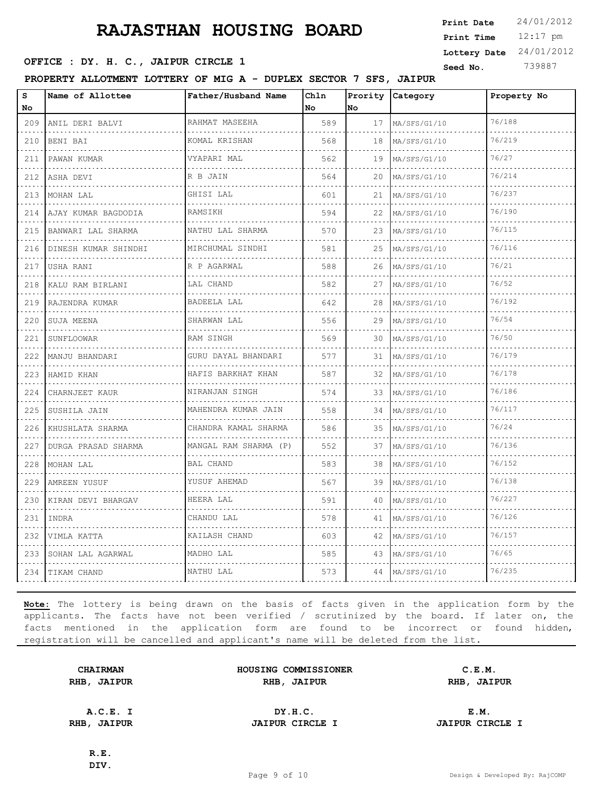12:17 pm **Print Time Print Date**  $24/01/2012$ **Lottery Date** 24/01/2012

# **SEED OFFICE : DY. H. C., JAIPUR CIRCLE 1** Seed No. 739887

**PROPERTY ALLOTMENT LOTTERY OF MIG A - DUPLEX SECTOR 7 SFS, JAIPUR**

| s<br>No          | Name of Allottee     | Father/Husband Name       | Chln<br>l No | Prority<br>No | Category          | Property No |
|------------------|----------------------|---------------------------|--------------|---------------|-------------------|-------------|
| 209              | ANIL DERI BALVI      | RAHMAT MASEEHA            | 589          | 17            | MA/SFS/G1/10      | 76/188      |
| 210              | BENI BAI             | <u>.</u><br>KOMAL KRISHAN | 568          | 18            | MA/SFS/G1/10      | 76/219      |
| 211              | PAWAN KUMAR          | VYAPARI MAL               | 562          | 19            | MA/SFS/G1/10      | 76/27       |
| 212              | ASHA DEVI<br>.       | R B JAIN                  | 564          | 20            | MA/SFS/G1/10<br>. | 76/214      |
| 213              | MOHAN LAL            | GHISI LAL                 | 601          | 21            | MA/SFS/G1/10      | 76/237      |
| 214              | AJAY KUMAR BAGDODIA  | <b>RAMSIKH</b>            | 594          | 22            | MA/SFS/G1/10      | 76/190      |
| 215<br>$- - - -$ | BANWARI LAL SHARMA   | NATHU LAL SHARMA<br>.     | 570          | 23            | MA/SFS/G1/10      | 76/115      |
| 216              | DINESH KUMAR SHINDHI | MIRCHUMAL SINDHI          | 581          | 25            | MA/SFS/G1/10      | 76/116      |
| 217              | USHA RANI            | R P AGARWAL               | 588          | 26            | MA/SFS/G1/10      | 76/21       |
| 218              | KALU RAM BIRLANI     | LAL CHAND                 | 582          | 27            | MA/SFS/G1/10      | 76/52       |
| 219              | RAJENDRA KUMAR       | BADEELA LAL               | 642          | 28            | MA/SFS/G1/10      | 76/192      |
| 220              | SUJA MEENA           | SHARWAN LAL               | 556          | 29            | MA/SFS/G1/10      | 76/54       |
| 221              | SUNFLOOWAR           | RAM SINGH                 | 569          | 30            | MA/SFS/G1/10      | 76/50       |
| 222              | MANJU BHANDARI       | GURU DAYAL BHANDARI       | 577          | 31            | MA/SFS/G1/10      | 76/179      |
| 223              | HAMID KHAN           | HAFIS BARKHAT KHAN<br>.   | 587          | 32            | MA/SFS/G1/10      | 76/178      |
| 224              | CHARNJEET KAUR       | NIRANJAN SINGH            | 574          | 33            | MA/SFS/G1/10      | 76/186      |
| 225              | SUSHILA JAIN         | MAHENDRA KUMAR JAIN       | 558          | 34            | MA/SFS/G1/10      | 76/117      |
| 226              | KHUSHLATA SHARMA     | CHANDRA KAMAL SHARMA      | 586          | 35            | MA/SFS/G1/10      | 76/24       |
| 227              | DURGA PRASAD SHARMA  | MANGAL RAM SHARMA (P)     | 552          | 37            | MA/SFS/G1/10      | 76/136      |
| 228              | MOHAN LAL            | <b>BAL CHAND</b>          | 583          | 38            | MA/SFS/G1/10      | 76/152      |
| 229              | AMREEN YUSUF         | YUSUF AHEMAD              | 567          | 39            | MA/SFS/G1/10      | 76/138      |
| 230              | KIRAN DEVI BHARGAV   | HEERA LAL                 | 591          | 40            | MA/SFS/G1/10      | 76/227      |
| 231              | <b>TNDRA</b>         | CHANDU LAL                | 578          | 41            | MA/SFS/G1/10      | 76/126      |
| 232              | VIMLA KATTA          | KAILASH CHAND             | 603          | 42            | MA/SFS/G1/10      | 76/157      |
| 233              | SOHAN LAL AGARWAL    | MADHO LAL                 | 585          | 43            | MA/SFS/G1/10      | 76/65       |
| 234              | TIKAM CHAND          | NATHU LAL                 | 573          | 44            | MA/SFS/G1/10      | 76/235      |

**Note:** The lottery is being drawn on the basis of facts given in the application form by the applicants. The facts have not been verified / scrutinized by the board. If later on, the facts mentioned in the application form are found to be incorrect or found hidden, registration will be cancelled and applicant's name will be deleted from the list.

| <b>CHAIRMAN</b> |             |  |
|-----------------|-------------|--|
|                 | RHB, JAIPUR |  |

| <b>CHAIRMAN</b>   | HOUSING COMMISSIONER | C.E.M.      |
|-------------------|----------------------|-------------|
| <b>IB, JAIPUR</b> | RHB, JAIPUR          | RHB, JAIPUR |